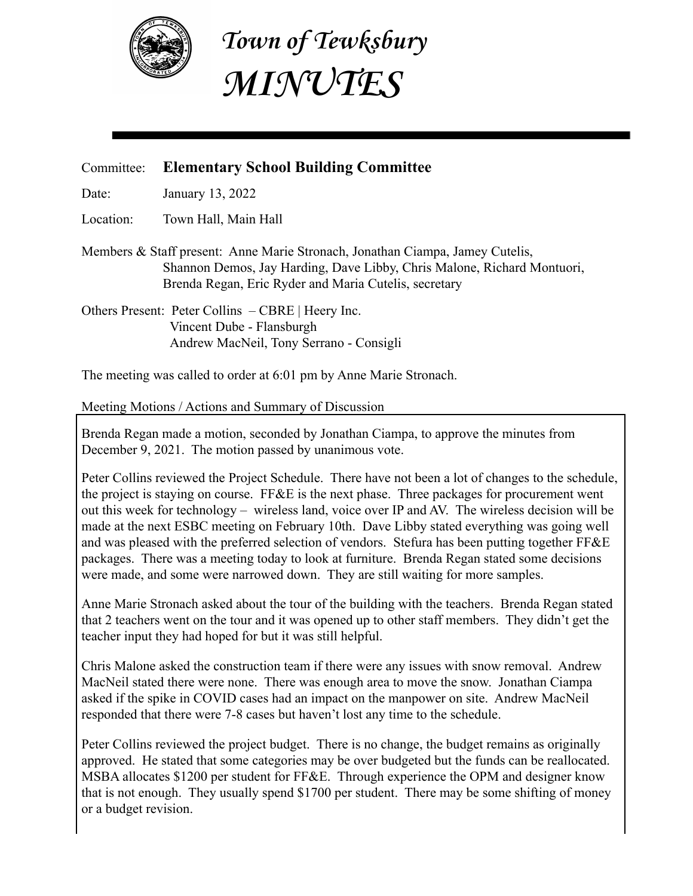

**Town of Tewksbury MINUTES**

## Committee: **Elementary School Building Committee**

Date: January 13, 2022

Location: Town Hall, Main Hall

Members & Staff present: Anne Marie Stronach, Jonathan Ciampa, Jamey Cutelis, Shannon Demos, Jay Harding, Dave Libby, Chris Malone, Richard Montuori, Brenda Regan, Eric Ryder and Maria Cutelis, secretary

Others Present: Peter Collins – CBRE | Heery Inc. Vincent Dube - Flansburgh Andrew MacNeil, Tony Serrano - Consigli

The meeting was called to order at 6:01 pm by Anne Marie Stronach.

## Meeting Motions / Actions and Summary of Discussion

Brenda Regan made a motion, seconded by Jonathan Ciampa, to approve the minutes from December 9, 2021. The motion passed by unanimous vote.

Peter Collins reviewed the Project Schedule. There have not been a lot of changes to the schedule, the project is staying on course. FF&E is the next phase. Three packages for procurement went out this week for technology – wireless land, voice over IP and AV. The wireless decision will be made at the next ESBC meeting on February 10th. Dave Libby stated everything was going well and was pleased with the preferred selection of vendors. Stefura has been putting together FF&E packages. There was a meeting today to look at furniture. Brenda Regan stated some decisions were made, and some were narrowed down. They are still waiting for more samples.

Anne Marie Stronach asked about the tour of the building with the teachers. Brenda Regan stated that 2 teachers went on the tour and it was opened up to other staff members. They didn't get the teacher input they had hoped for but it was still helpful.

Chris Malone asked the construction team if there were any issues with snow removal. Andrew MacNeil stated there were none. There was enough area to move the snow. Jonathan Ciampa asked if the spike in COVID cases had an impact on the manpower on site. Andrew MacNeil responded that there were 7-8 cases but haven't lost any time to the schedule.

Peter Collins reviewed the project budget. There is no change, the budget remains as originally approved. He stated that some categories may be over budgeted but the funds can be reallocated. MSBA allocates \$1200 per student for FF&E. Through experience the OPM and designer know that is not enough. They usually spend \$1700 per student. There may be some shifting of money or a budget revision.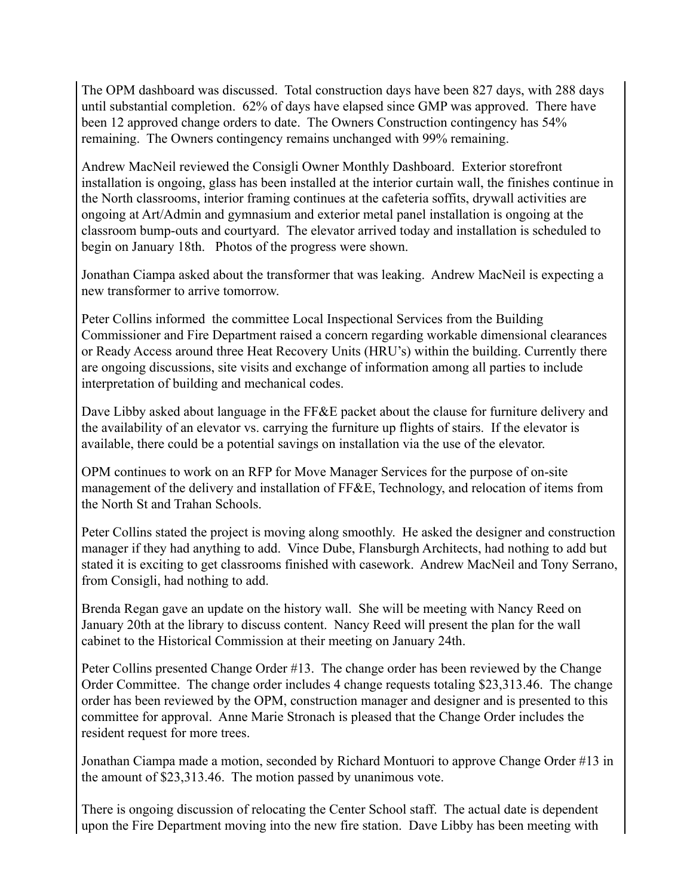The OPM dashboard was discussed. Total construction days have been 827 days, with 288 days until substantial completion. 62% of days have elapsed since GMP was approved. There have been 12 approved change orders to date. The Owners Construction contingency has 54% remaining. The Owners contingency remains unchanged with 99% remaining.

Andrew MacNeil reviewed the Consigli Owner Monthly Dashboard. Exterior storefront installation is ongoing, glass has been installed at the interior curtain wall, the finishes continue in the North classrooms, interior framing continues at the cafeteria soffits, drywall activities are ongoing at Art/Admin and gymnasium and exterior metal panel installation is ongoing at the classroom bump-outs and courtyard. The elevator arrived today and installation is scheduled to begin on January 18th. Photos of the progress were shown.

Jonathan Ciampa asked about the transformer that was leaking. Andrew MacNeil is expecting a new transformer to arrive tomorrow.

Peter Collins informed the committee Local Inspectional Services from the Building Commissioner and Fire Department raised a concern regarding workable dimensional clearances or Ready Access around three Heat Recovery Units (HRU's) within the building. Currently there are ongoing discussions, site visits and exchange of information among all parties to include interpretation of building and mechanical codes.

Dave Libby asked about language in the FF&E packet about the clause for furniture delivery and the availability of an elevator vs. carrying the furniture up flights of stairs. If the elevator is available, there could be a potential savings on installation via the use of the elevator.

OPM continues to work on an RFP for Move Manager Services for the purpose of on-site management of the delivery and installation of FF&E, Technology, and relocation of items from the North St and Trahan Schools.

Peter Collins stated the project is moving along smoothly. He asked the designer and construction manager if they had anything to add. Vince Dube, Flansburgh Architects, had nothing to add but stated it is exciting to get classrooms finished with casework. Andrew MacNeil and Tony Serrano, from Consigli, had nothing to add.

Brenda Regan gave an update on the history wall. She will be meeting with Nancy Reed on January 20th at the library to discuss content. Nancy Reed will present the plan for the wall cabinet to the Historical Commission at their meeting on January 24th.

Peter Collins presented Change Order #13. The change order has been reviewed by the Change Order Committee. The change order includes 4 change requests totaling \$23,313.46. The change order has been reviewed by the OPM, construction manager and designer and is presented to this committee for approval. Anne Marie Stronach is pleased that the Change Order includes the resident request for more trees.

Jonathan Ciampa made a motion, seconded by Richard Montuori to approve Change Order #13 in the amount of \$23,313.46. The motion passed by unanimous vote.

There is ongoing discussion of relocating the Center School staff. The actual date is dependent upon the Fire Department moving into the new fire station. Dave Libby has been meeting with